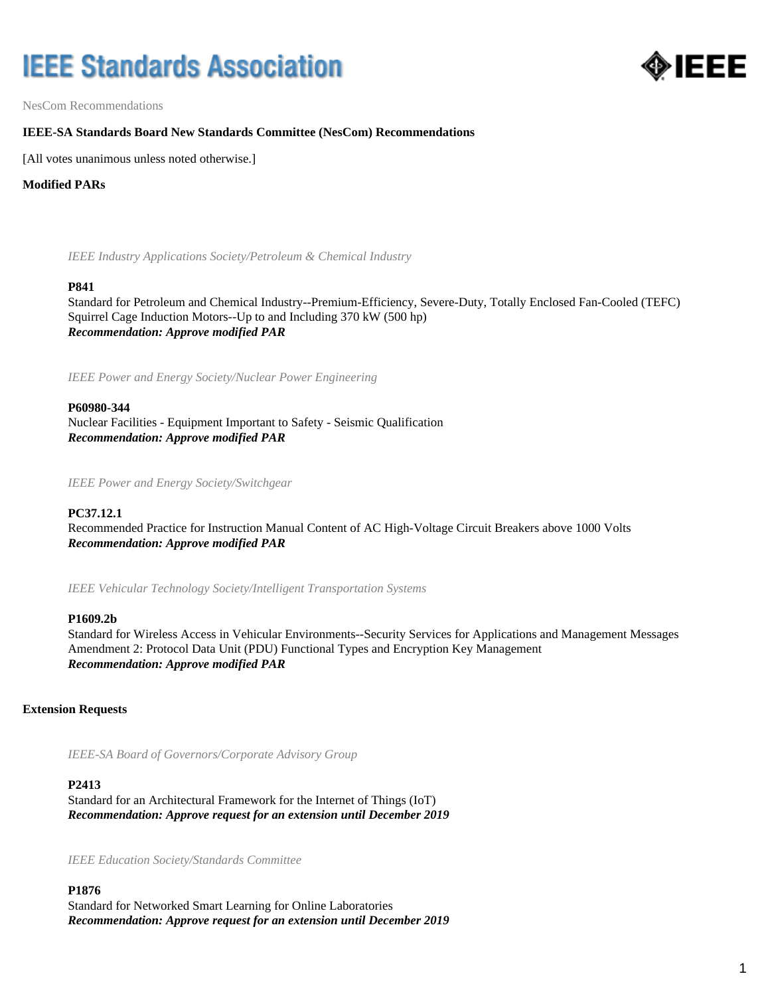# **IEEE Standards Association**



NesCom Recommendations

## **IEEE-SA Standards Board New Standards Committee (NesCom) Recommendations**

[All votes unanimous unless noted otherwise.]

## **Modified PARs**

*IEEE Industry Applications Society/Petroleum & Chemical Industry*

#### **P841**

Standard for Petroleum and Chemical Industry--Premium-Efficiency, Severe-Duty, Totally Enclosed Fan-Cooled (TEFC) Squirrel Cage Induction Motors--Up to and Including 370 kW (500 hp) *Recommendation: Approve modified PAR*

*IEEE Power and Energy Society/Nuclear Power Engineering*

## **P60980-344**

Nuclear Facilities - Equipment Important to Safety - Seismic Qualification *Recommendation: Approve modified PAR*

*IEEE Power and Energy Society/Switchgear*

## **PC37.12.1**

Recommended Practice for Instruction Manual Content of AC High-Voltage Circuit Breakers above 1000 Volts *Recommendation: Approve modified PAR*

*IEEE Vehicular Technology Society/Intelligent Transportation Systems*

#### **P1609.2b**

Standard for Wireless Access in Vehicular Environments--Security Services for Applications and Management Messages Amendment 2: Protocol Data Unit (PDU) Functional Types and Encryption Key Management *Recommendation: Approve modified PAR*

## **Extension Requests**

*IEEE-SA Board of Governors/Corporate Advisory Group*

# **P2413**

Standard for an Architectural Framework for the Internet of Things (IoT) *Recommendation: Approve request for an extension until December 2019*

*IEEE Education Society/Standards Committee*

**P1876** Standard for Networked Smart Learning for Online Laboratories *Recommendation: Approve request for an extension until December 2019*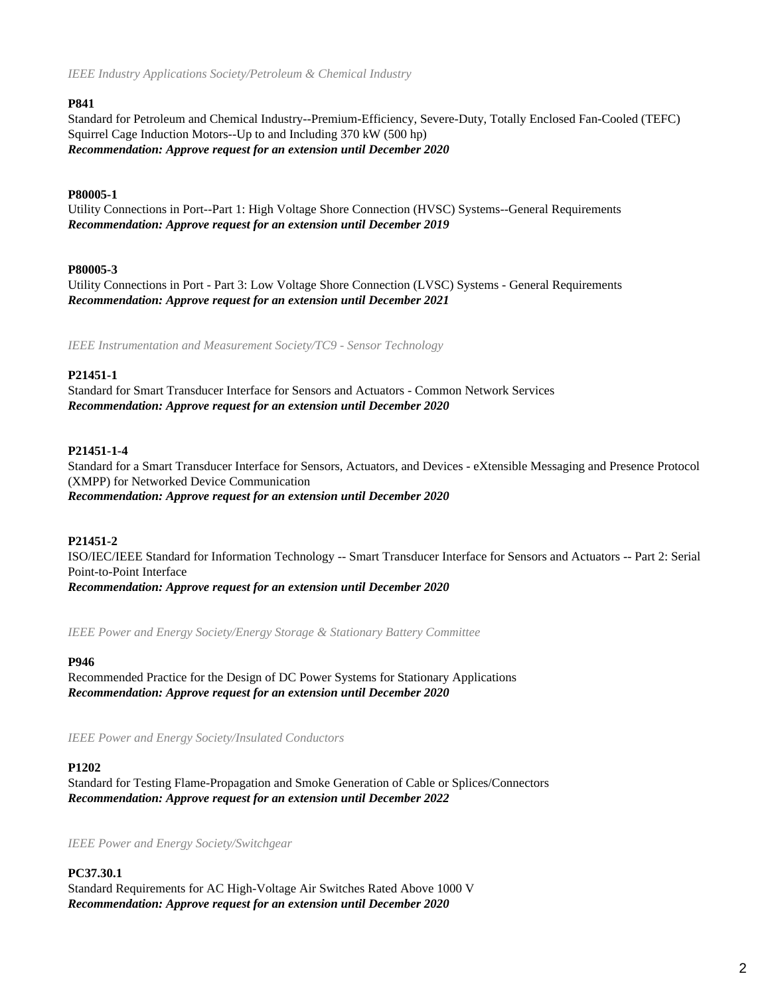*IEEE Industry Applications Society/Petroleum & Chemical Industry*

## **P841**

Standard for Petroleum and Chemical Industry--Premium-Efficiency, Severe-Duty, Totally Enclosed Fan-Cooled (TEFC) Squirrel Cage Induction Motors--Up to and Including 370 kW (500 hp) *Recommendation: Approve request for an extension until December 2020*

# **P80005-1**

Utility Connections in Port--Part 1: High Voltage Shore Connection (HVSC) Systems--General Requirements *Recommendation: Approve request for an extension until December 2019*

# **P80005-3**

Utility Connections in Port - Part 3: Low Voltage Shore Connection (LVSC) Systems - General Requirements *Recommendation: Approve request for an extension until December 2021*

*IEEE Instrumentation and Measurement Society/TC9 - Sensor Technology*

# **P21451-1**

Standard for Smart Transducer Interface for Sensors and Actuators - Common Network Services *Recommendation: Approve request for an extension until December 2020*

# **P21451-1-4**

Standard for a Smart Transducer Interface for Sensors, Actuators, and Devices - eXtensible Messaging and Presence Protocol (XMPP) for Networked Device Communication *Recommendation: Approve request for an extension until December 2020*

# **P21451-2**

ISO/IEC/IEEE Standard for Information Technology -- Smart Transducer Interface for Sensors and Actuators -- Part 2: Serial Point-to-Point Interface

*Recommendation: Approve request for an extension until December 2020*

*IEEE Power and Energy Society/Energy Storage & Stationary Battery Committee*

## **P946**

Recommended Practice for the Design of DC Power Systems for Stationary Applications *Recommendation: Approve request for an extension until December 2020*

*IEEE Power and Energy Society/Insulated Conductors*

## **P1202**

Standard for Testing Flame-Propagation and Smoke Generation of Cable or Splices/Connectors *Recommendation: Approve request for an extension until December 2022*

*IEEE Power and Energy Society/Switchgear*

**PC37.30.1** Standard Requirements for AC High-Voltage Air Switches Rated Above 1000 V *Recommendation: Approve request for an extension until December 2020*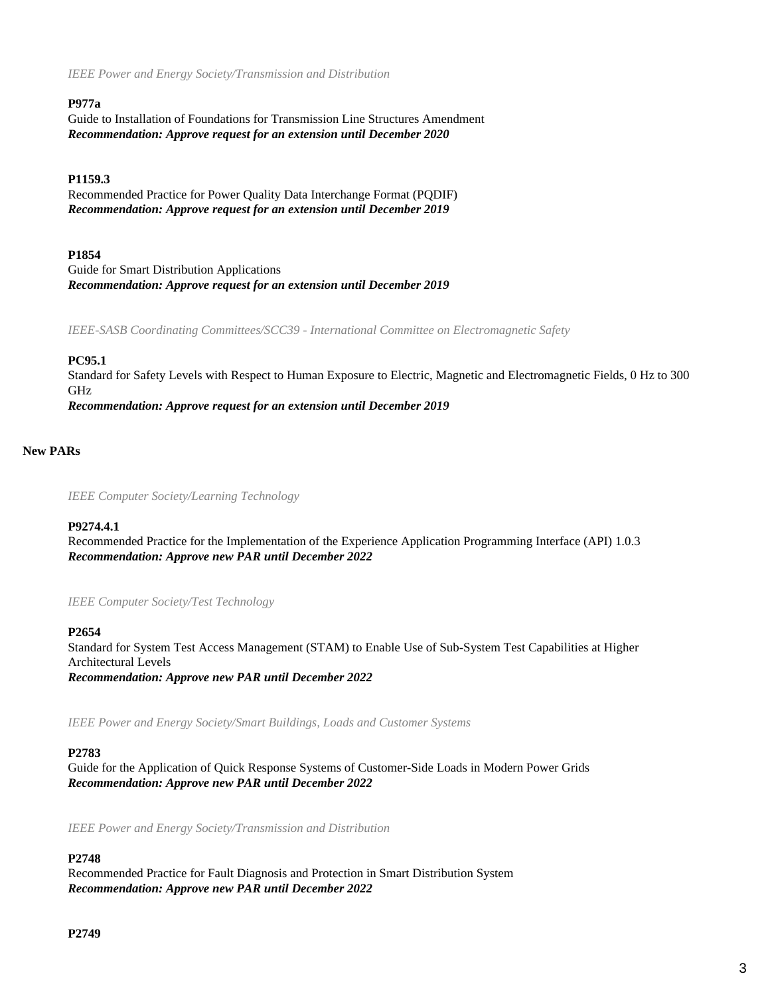*IEEE Power and Energy Society/Transmission and Distribution*

## **P977a**

Guide to Installation of Foundations for Transmission Line Structures Amendment *Recommendation: Approve request for an extension until December 2020*

## **P1159.3**

Recommended Practice for Power Quality Data Interchange Format (PQDIF) *Recommendation: Approve request for an extension until December 2019*

## **P1854**

Guide for Smart Distribution Applications *Recommendation: Approve request for an extension until December 2019*

*IEEE-SASB Coordinating Committees/SCC39 - International Committee on Electromagnetic Safety*

# **PC95.1**

Standard for Safety Levels with Respect to Human Exposure to Electric, Magnetic and Electromagnetic Fields, 0 Hz to 300 GHz

*Recommendation: Approve request for an extension until December 2019*

## **New PARs**

*IEEE Computer Society/Learning Technology*

#### **P9274.4.1**

Recommended Practice for the Implementation of the Experience Application Programming Interface (API) 1.0.3 *Recommendation: Approve new PAR until December 2022*

*IEEE Computer Society/Test Technology*

## **P2654**

Standard for System Test Access Management (STAM) to Enable Use of Sub-System Test Capabilities at Higher Architectural Levels *Recommendation: Approve new PAR until December 2022*

*IEEE Power and Energy Society/Smart Buildings, Loads and Customer Systems*

#### **P2783**

Guide for the Application of Quick Response Systems of Customer-Side Loads in Modern Power Grids *Recommendation: Approve new PAR until December 2022*

*IEEE Power and Energy Society/Transmission and Distribution*

## **P2748**

Recommended Practice for Fault Diagnosis and Protection in Smart Distribution System *Recommendation: Approve new PAR until December 2022*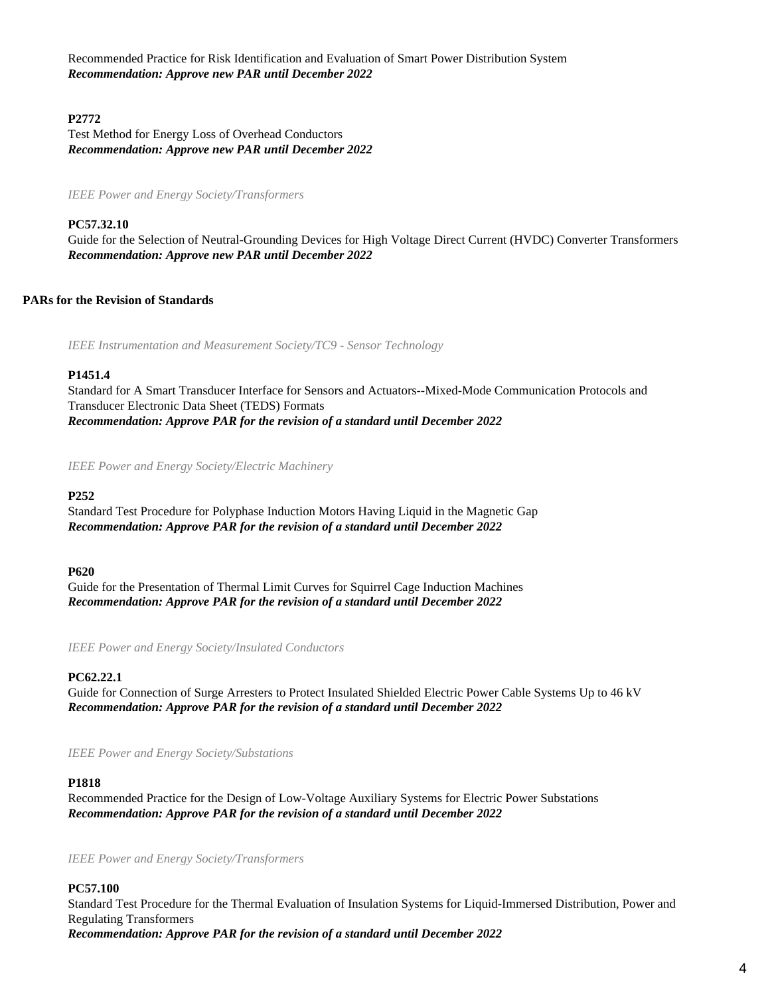Recommended Practice for Risk Identification and Evaluation of Smart Power Distribution System *Recommendation: Approve new PAR until December 2022*

## **P2772**

Test Method for Energy Loss of Overhead Conductors *Recommendation: Approve new PAR until December 2022*

*IEEE Power and Energy Society/Transformers*

#### **PC57.32.10**

Guide for the Selection of Neutral-Grounding Devices for High Voltage Direct Current (HVDC) Converter Transformers *Recommendation: Approve new PAR until December 2022*

## **PARs for the Revision of Standards**

*IEEE Instrumentation and Measurement Society/TC9 - Sensor Technology*

#### **P1451.4**

Standard for A Smart Transducer Interface for Sensors and Actuators--Mixed-Mode Communication Protocols and Transducer Electronic Data Sheet (TEDS) Formats *Recommendation: Approve PAR for the revision of a standard until December 2022*

*IEEE Power and Energy Society/Electric Machinery*

#### **P252**

Standard Test Procedure for Polyphase Induction Motors Having Liquid in the Magnetic Gap *Recommendation: Approve PAR for the revision of a standard until December 2022*

#### **P620**

Guide for the Presentation of Thermal Limit Curves for Squirrel Cage Induction Machines *Recommendation: Approve PAR for the revision of a standard until December 2022*

*IEEE Power and Energy Society/Insulated Conductors*

## **PC62.22.1**

Guide for Connection of Surge Arresters to Protect Insulated Shielded Electric Power Cable Systems Up to 46 kV *Recommendation: Approve PAR for the revision of a standard until December 2022*

*IEEE Power and Energy Society/Substations*

#### **P1818**

Recommended Practice for the Design of Low-Voltage Auxiliary Systems for Electric Power Substations *Recommendation: Approve PAR for the revision of a standard until December 2022*

*IEEE Power and Energy Society/Transformers*

#### **PC57.100**

Standard Test Procedure for the Thermal Evaluation of Insulation Systems for Liquid-Immersed Distribution, Power and Regulating Transformers *Recommendation: Approve PAR for the revision of a standard until December 2022*